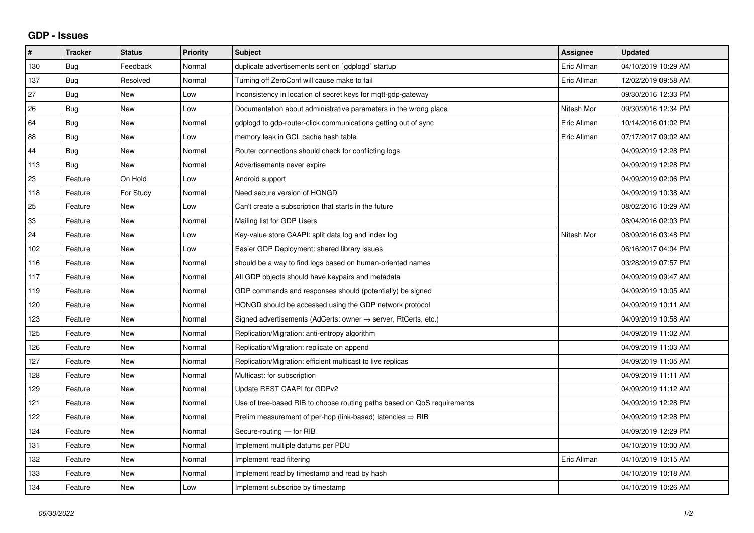## **GDP - Issues**

| $\vert$ # | <b>Tracker</b> | <b>Status</b> | <b>Priority</b> | <b>Subject</b>                                                          | <b>Assignee</b> | <b>Updated</b>      |
|-----------|----------------|---------------|-----------------|-------------------------------------------------------------------------|-----------------|---------------------|
| 130       | Bug            | Feedback      | Normal          | duplicate advertisements sent on `gdplogd` startup                      | Eric Allman     | 04/10/2019 10:29 AM |
| 137       | <b>Bug</b>     | Resolved      | Normal          | Turning off ZeroConf will cause make to fail                            | Eric Allman     | 12/02/2019 09:58 AM |
| 27        | <b>Bug</b>     | <b>New</b>    | Low             | Inconsistency in location of secret keys for mqtt-gdp-gateway           |                 | 09/30/2016 12:33 PM |
| 26        | Bug            | <b>New</b>    | Low             | Documentation about administrative parameters in the wrong place        | Nitesh Mor      | 09/30/2016 12:34 PM |
| 64        | Bug            | <b>New</b>    | Normal          | gdplogd to gdp-router-click communications getting out of sync          | Eric Allman     | 10/14/2016 01:02 PM |
| 88        | <b>Bug</b>     | New           | Low             | memory leak in GCL cache hash table                                     | Eric Allman     | 07/17/2017 09:02 AM |
| 44        | Bug            | <b>New</b>    | Normal          | Router connections should check for conflicting logs                    |                 | 04/09/2019 12:28 PM |
| 113       | <b>Bug</b>     | <b>New</b>    | Normal          | Advertisements never expire                                             |                 | 04/09/2019 12:28 PM |
| 23        | Feature        | On Hold       | Low             | Android support                                                         |                 | 04/09/2019 02:06 PM |
| 118       | Feature        | For Study     | Normal          | Need secure version of HONGD                                            |                 | 04/09/2019 10:38 AM |
| 25        | Feature        | <b>New</b>    | Low             | Can't create a subscription that starts in the future                   |                 | 08/02/2016 10:29 AM |
| 33        | Feature        | New           | Normal          | Mailing list for GDP Users                                              |                 | 08/04/2016 02:03 PM |
| 24        | Feature        | <b>New</b>    | Low             | Key-value store CAAPI: split data log and index log                     | Nitesh Mor      | 08/09/2016 03:48 PM |
| 102       | Feature        | <b>New</b>    | Low             | Easier GDP Deployment: shared library issues                            |                 | 06/16/2017 04:04 PM |
| 116       | Feature        | <b>New</b>    | Normal          | should be a way to find logs based on human-oriented names              |                 | 03/28/2019 07:57 PM |
| 117       | Feature        | <b>New</b>    | Normal          | All GDP objects should have keypairs and metadata                       |                 | 04/09/2019 09:47 AM |
| 119       | Feature        | <b>New</b>    | Normal          | GDP commands and responses should (potentially) be signed               |                 | 04/09/2019 10:05 AM |
| 120       | Feature        | <b>New</b>    | Normal          | HONGD should be accessed using the GDP network protocol                 |                 | 04/09/2019 10:11 AM |
| 123       | Feature        | <b>New</b>    | Normal          | Signed advertisements (AdCerts: owner → server, RtCerts, etc.)          |                 | 04/09/2019 10:58 AM |
| 125       | Feature        | <b>New</b>    | Normal          | Replication/Migration: anti-entropy algorithm                           |                 | 04/09/2019 11:02 AM |
| 126       | Feature        | <b>New</b>    | Normal          | Replication/Migration: replicate on append                              |                 | 04/09/2019 11:03 AM |
| 127       | Feature        | <b>New</b>    | Normal          | Replication/Migration: efficient multicast to live replicas             |                 | 04/09/2019 11:05 AM |
| 128       | Feature        | <b>New</b>    | Normal          | Multicast: for subscription                                             |                 | 04/09/2019 11:11 AM |
| 129       | Feature        | <b>New</b>    | Normal          | Update REST CAAPI for GDPv2                                             |                 | 04/09/2019 11:12 AM |
| 121       | Feature        | <b>New</b>    | Normal          | Use of tree-based RIB to choose routing paths based on QoS requirements |                 | 04/09/2019 12:28 PM |
| 122       | Feature        | <b>New</b>    | Normal          | Prelim measurement of per-hop (link-based) latencies $\Rightarrow$ RIB  |                 | 04/09/2019 12:28 PM |
| 124       | Feature        | <b>New</b>    | Normal          | Secure-routing - for RIB                                                |                 | 04/09/2019 12:29 PM |
| 131       | Feature        | New           | Normal          | Implement multiple datums per PDU                                       |                 | 04/10/2019 10:00 AM |
| 132       | Feature        | <b>New</b>    | Normal          | Implement read filtering                                                | Eric Allman     | 04/10/2019 10:15 AM |
| 133       | Feature        | <b>New</b>    | Normal          | Implement read by timestamp and read by hash                            |                 | 04/10/2019 10:18 AM |
| 134       | Feature        | New           | Low             | Implement subscribe by timestamp                                        |                 | 04/10/2019 10:26 AM |